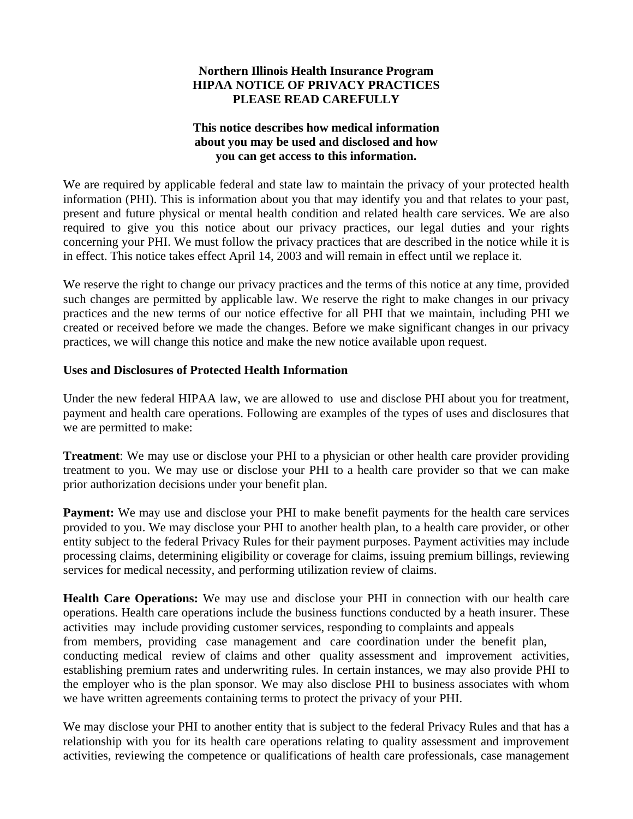## **Northern Illinois Health Insurance Program HIPAA NOTICE OF PRIVACY PRACTICES PLEASE READ CAREFULLY**

## **This notice describes how medical information about you may be used and disclosed and how you can get access to this information.**

We are required by applicable federal and state law to maintain the privacy of your protected health information (PHI). This is information about you that may identify you and that relates to your past, present and future physical or mental health condition and related health care services. We are also required to give you this notice about our privacy practices, our legal duties and your rights concerning your PHI. We must follow the privacy practices that are described in the notice while it is in effect. This notice takes effect April 14, 2003 and will remain in effect until we replace it.

We reserve the right to change our privacy practices and the terms of this notice at any time, provided such changes are permitted by applicable law. We reserve the right to make changes in our privacy practices and the new terms of our notice effective for all PHI that we maintain, including PHI we created or received before we made the changes. Before we make significant changes in our privacy practices, we will change this notice and make the new notice available upon request.

### **Uses and Disclosures of Protected Health Information**

Under the new federal HIPAA law, we are allowed to use and disclose PHI about you for treatment, payment and health care operations. Following are examples of the types of uses and disclosures that we are permitted to make:

**Treatment**: We may use or disclose your PHI to a physician or other health care provider providing treatment to you. We may use or disclose your PHI to a health care provider so that we can make prior authorization decisions under your benefit plan.

**Payment:** We may use and disclose your PHI to make benefit payments for the health care services provided to you. We may disclose your PHI to another health plan, to a health care provider, or other entity subject to the federal Privacy Rules for their payment purposes. Payment activities may include processing claims, determining eligibility or coverage for claims, issuing premium billings, reviewing services for medical necessity, and performing utilization review of claims.

**Health Care Operations:** We may use and disclose your PHI in connection with our health care operations. Health care operations include the business functions conducted by a heath insurer. These activities may include providing customer services, responding to complaints and appeals from members, providing case management and care coordination under the benefit plan, conducting medical review of claims and other quality assessment and improvement activities, establishing premium rates and underwriting rules. In certain instances, we may also provide PHI to the employer who is the plan sponsor. We may also disclose PHI to business associates with whom we have written agreements containing terms to protect the privacy of your PHI.

We may disclose your PHI to another entity that is subject to the federal Privacy Rules and that has a relationship with you for its health care operations relating to quality assessment and improvement activities, reviewing the competence or qualifications of health care professionals, case management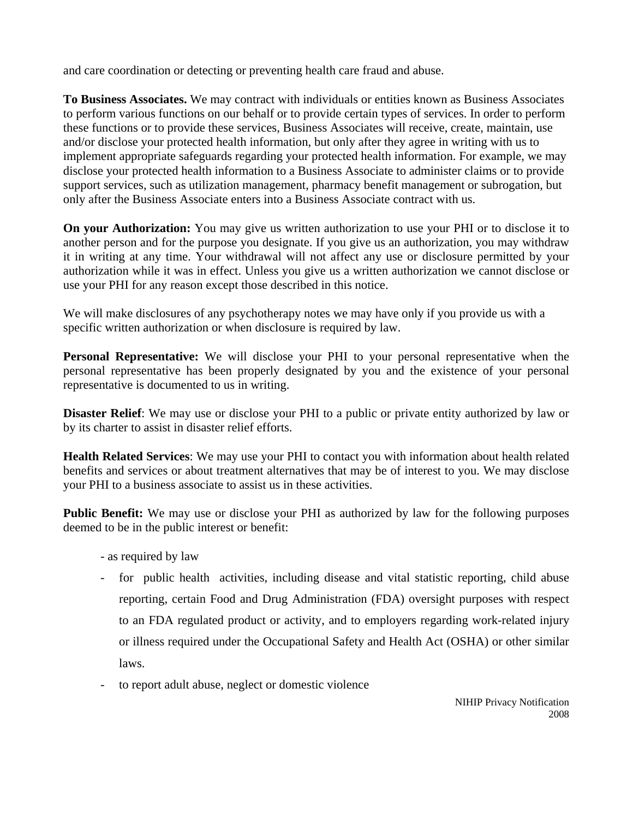and care coordination or detecting or preventing health care fraud and abuse.

**To Business Associates.** We may contract with individuals or entities known as Business Associates to perform various functions on our behalf or to provide certain types of services. In order to perform these functions or to provide these services, Business Associates will receive, create, maintain, use and/or disclose your protected health information, but only after they agree in writing with us to implement appropriate safeguards regarding your protected health information. For example, we may disclose your protected health information to a Business Associate to administer claims or to provide support services, such as utilization management, pharmacy benefit management or subrogation, but only after the Business Associate enters into a Business Associate contract with us.

**On your Authorization:** You may give us written authorization to use your PHI or to disclose it to another person and for the purpose you designate. If you give us an authorization, you may withdraw it in writing at any time. Your withdrawal will not affect any use or disclosure permitted by your authorization while it was in effect. Unless you give us a written authorization we cannot disclose or use your PHI for any reason except those described in this notice.

We will make disclosures of any psychotherapy notes we may have only if you provide us with a specific written authorization or when disclosure is required by law.

**Personal Representative:** We will disclose your PHI to your personal representative when the personal representative has been properly designated by you and the existence of your personal representative is documented to us in writing.

**Disaster Relief**: We may use or disclose your PHI to a public or private entity authorized by law or by its charter to assist in disaster relief efforts.

**Health Related Services**: We may use your PHI to contact you with information about health related benefits and services or about treatment alternatives that may be of interest to you. We may disclose your PHI to a business associate to assist us in these activities.

**Public Benefit:** We may use or disclose your PHI as authorized by law for the following purposes deemed to be in the public interest or benefit:

- as required by law
- for public health activities, including disease and vital statistic reporting, child abuse reporting, certain Food and Drug Administration (FDA) oversight purposes with respect to an FDA regulated product or activity, and to employers regarding work-related injury or illness required under the Occupational Safety and Health Act (OSHA) or other similar laws.
- to report adult abuse, neglect or domestic violence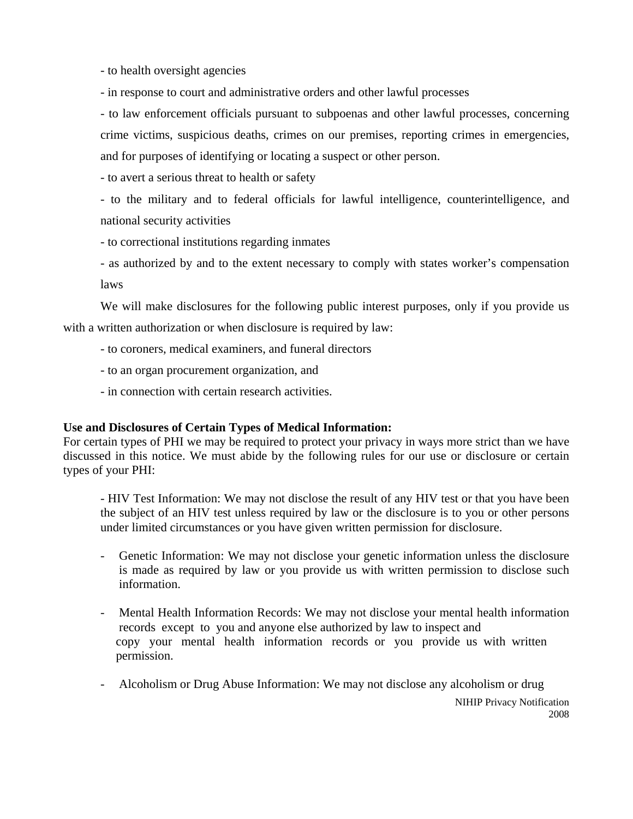- to health oversight agencies

- in response to court and administrative orders and other lawful processes

- to law enforcement officials pursuant to subpoenas and other lawful processes, concerning crime victims, suspicious deaths, crimes on our premises, reporting crimes in emergencies, and for purposes of identifying or locating a suspect or other person.

- to avert a serious threat to health or safety

- to the military and to federal officials for lawful intelligence, counterintelligence, and national security activities

- to correctional institutions regarding inmates

- as authorized by and to the extent necessary to comply with states worker's compensation laws

 We will make disclosures for the following public interest purposes, only if you provide us with a written authorization or when disclosure is required by law:

- to coroners, medical examiners, and funeral directors
- to an organ procurement organization, and
- in connection with certain research activities.

### **Use and Disclosures of Certain Types of Medical Information:**

For certain types of PHI we may be required to protect your privacy in ways more strict than we have discussed in this notice. We must abide by the following rules for our use or disclosure or certain types of your PHI:

- HIV Test Information: We may not disclose the result of any HIV test or that you have been the subject of an HIV test unless required by law or the disclosure is to you or other persons under limited circumstances or you have given written permission for disclosure.

- Genetic Information: We may not disclose your genetic information unless the disclosure is made as required by law or you provide us with written permission to disclose such information.
- Mental Health Information Records: We may not disclose your mental health information records except to you and anyone else authorized by law to inspect and copy your mental health information records or you provide us with written permission.
- Alcoholism or Drug Abuse Information: We may not disclose any alcoholism or drug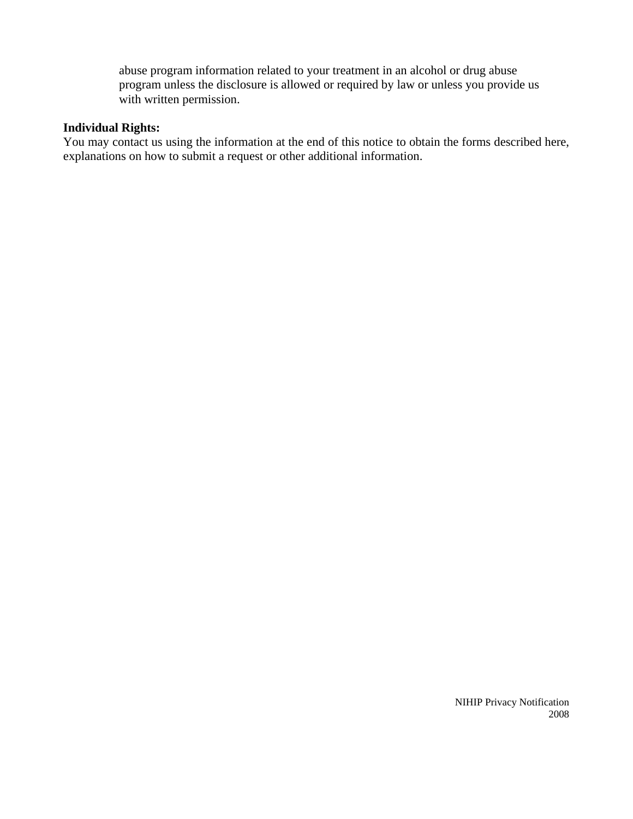abuse program information related to your treatment in an alcohol or drug abuse program unless the disclosure is allowed or required by law or unless you provide us with written permission.

# **Individual Rights:**

You may contact us using the information at the end of this notice to obtain the forms described here, explanations on how to submit a request or other additional information.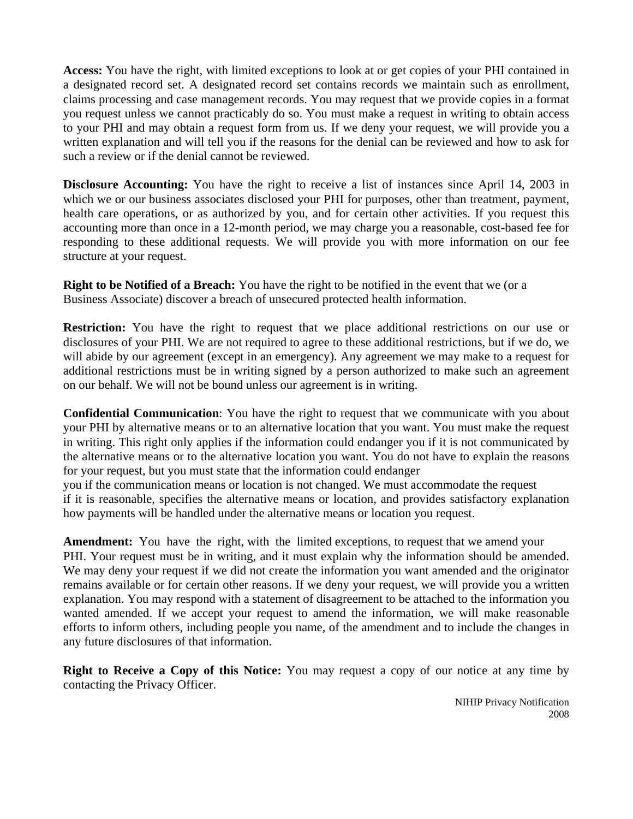**Access:** You have the right, with limited exceptions to look at or get copies of your PHI contained in a designated record set. A designated record set contains records we maintain such as enrollment, claims processing and case management records. You may request that we provide copies in a format you request unless we cannot practicably do so. You must make a request in writing to obtain access to your PHI and may obtain a request form from us. If we deny your request, we will provide you a written explanation and will tell you if the reasons for the denial can be reviewed and how to ask for such a review or if the denial cannot be reviewed.

**Disclosure Accounting:** You have the right to receive a list of instances since April 14, 2003 in which we or our business associates disclosed your PHI for purposes, other than treatment, payment, health care operations, or as authorized by you, and for certain other activities. If you request this accounting more than once in a 12-month period, we may charge you a reasonable, cost-based fee for responding to these additional requests. We will provide you with more information on our fee structure at your request.

**Right to be Notified of a Breach:** You have the right to be notified in the event that we (or a Business Associate) discover a breach of unsecured protected health information.

**Restriction:** You have the right to request that we place additional restrictions on our use or disclosures of your PHI. We are not required to agree to these additional restrictions, but if we do, we will abide by our agreement (except in an emergency). Any agreement we may make to a request for additional restrictions must be in writing signed by a person authorized to make such an agreement on our behalf. We will not be bound unless our agreement is in writing.

**Confidential Communication**: You have the right to request that we communicate with you about your PHI by alternative means or to an alternative location that you want. You must make the request in writing. This right only applies if the information could endanger you if it is not communicated by the alternative means or to the alternative location you want. You do not have to explain the reasons for your request, but you must state that the information could endanger

you if the communication means or location is not changed. We must accommodate the request if it is reasonable, specifies the alternative means or location, and provides satisfactory explanation how payments will be handled under the alternative means or location you request.

**Amendment:** You have the right, with the limited exceptions, to request that we amend your PHI. Your request must be in writing, and it must explain why the information should be amended. We may deny your request if we did not create the information you want amended and the originator remains available or for certain other reasons. If we deny your request, we will provide you a written explanation. You may respond with a statement of disagreement to be attached to the information you wanted amended. If we accept your request to amend the information, we will make reasonable efforts to inform others, including people you name, of the amendment and to include the changes in any future disclosures of that information.

**Right to Receive a Copy of this Notice:** You may request a copy of our notice at any time by contacting the Privacy Officer.